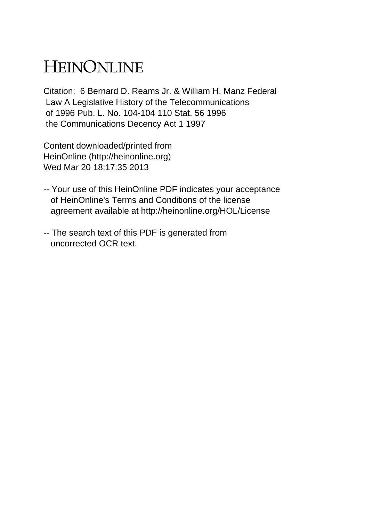## HEINONLINE

Citation: 6 Bernard D. Reams Jr. & William H. Manz Federal Law A Legislative History of the Telecommunications of 1996 Pub. L. No. 104-104 110 Stat. 56 1996 the Communications Decency Act 1 1997

Content downloaded/printed from HeinOnline (http://heinonline.org) Wed Mar 20 18:17:35 2013

- -- Your use of this HeinOnline PDF indicates your acceptance of HeinOnline's Terms and Conditions of the license agreement available at http://heinonline.org/HOL/License
- -- The search text of this PDF is generated from uncorrected OCR text.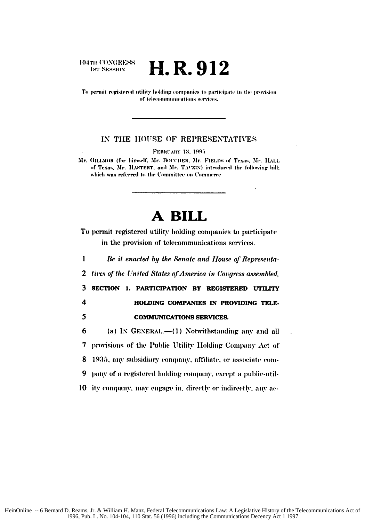104TH CONGRESS **1st SESSION** 

H.R.912

To permit registered utility holding companies to participate in the provision of telecommunications services.

## IN THE HOUSE OF REPRESENTATIVES

FEBRUARY 13, 1995

Mr. GILLMOR (for himself, Mr. BOUCHER, Mr. FIELDS of Texas, Mr. HALL of Texas, Mr. HASTERT, and Mr. TAUZIN) introduced the following bill; which was referred to the Committee on Commerce

## A BILL

To permit registered utility holding companies to participate in the provision of telecommunications services.

 $\mathbf{I}$ Be it enacted by the Senate and House of Representa- $\overline{2}$ tives of the United States of America in Congress assembled,  $\overline{\mathbf{3}}$ SECTION 1. PARTICIPATION BY REGISTERED UTILITY  $\overline{\mathbf{4}}$ HOLDING COMPANIES IN PROVIDING TELE-5 **COMMUNICATIONS SERVICES.** 6 (a) IN GENERAL.—(1) Notwithstanding any and all  $\overline{\mathbf{7}}$ provisions of the Public Utility Holding Company Act of 8 1935, any subsidiary company, affiliate, or associate company of a registered holding company, except a public-util-9 10 ity company, may engage in, directly or indirectly, any ac-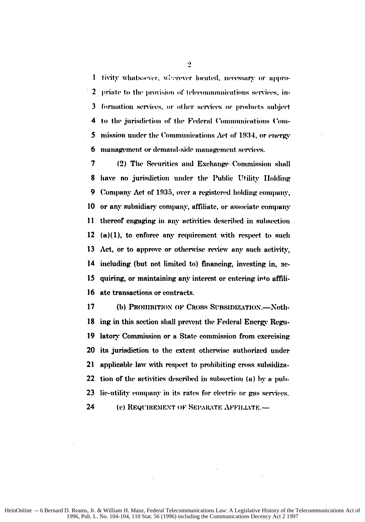I tivity whatsoever, wherever located, necessary or appro-2 priate to the provision of telecommunications services, information services, or other services or products subject 3 to the jurisdiction of the Federal Communications Com-4 mission under the Communications Act of 1934, or energy 5 management or demand-side management services. 6

7 (2) The Securities and Exchange Commission shall have no jurisdiction under the Public Utility Holding 8 9 Company Act of 1935, over a registered holding company, 10 or any subsidiary company, affiliate, or associate company 11 thereof engaging in any activities described in subsection 12  $(a)(1)$ , to enforce any requirement with respect to such 13 Act, or to approve or otherwise review any such activity, 14 including (but not limited to) financing, investing in, ac-15 quiring, or maintaining any interest or entering into affili-16 ate transactions or contracts.

 $17$ (b) PROHIBITION OF CROSS SUBSIDIZATION.-Nothing in this section shall prevent the Federal Energy Regu-18 latory Commission or a State commission from exercising 19 20 its jurisdiction to the extent otherwise authorized under 21 applicable law with respect to prohibiting cross subsidiza-22 tion of the activities described in subsection (a) by a pub-23 lic-utility company in its rates for electric or gas services.

24 (c) REQUIREMENT OF SEPARATE AFFILIATE.-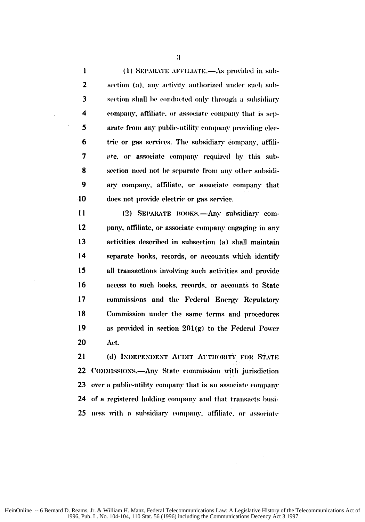$\mathbf{I}$ (1) SEPARATE AFFILIATE.-As provided in sub- $\overline{2}$ section (a), any activity authorized under such sub- $\overline{\mathbf{3}}$ section shall be conducted only through a subsidiary 4 company, affiliate, or associate company that is sep-5 arate from any public-utility company providing elec-6 tric or gas services. The subsidiary company, affili- $\overline{7}$ ate, or associate company required by this subsection need not be separate from any other subsidi-R 9 ary company, affiliate, or associate company that -10 does not provide electric or gas service.

 $11$ (2) SEPARATE BOOKS.-Any subsidiary com- $12$ pany, affiliate, or associate company engaging in any 13 activities described in subsection (a) shall maintain  $14$ separate books, records, or accounts which identify 15 all transactions involving such activities and provide 16 access to such books, records, or accounts to State  $17$ commissions and the Federal Energy Regulatory 18 Commission under the same terms and procedures 19 as provided in section  $201(g)$  to the Federal Power 20 Act.

21 (d) INDEPENDENT AUDIT AUTHORITY FOR STATE 22 COMMISSIONS.-Any State commission with jurisdiction 23 over a public-utility company that is an associate company 24 of a registered holding company and that transacts busi-25 ness with a subsidiary company, affiliate, or associate

 $\mathbf{3}$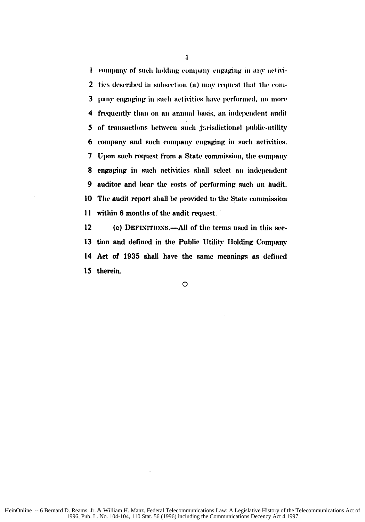I company of such holding company engaging in any activi-2 ties described in subsection (a) may request that the com- $\mathbf{3}$ pany engaging in such activities have performed, no more frequently than on an annual basis, an independent audit 4 5 of transactions between such jurisdictional public-utility 6 company and such company engaging in such activities. 7 Upon such request from a State commission, the company 8 engaging in such activities shall select an independent 9 auditor and bear the costs of performing such an audit. 10 The audit report shall be provided to the State commission  $\mathbf{11}$ within 6 months of the audit request.

12 (e) DEFINITIONS.—All of the terms used in this sec-13 tion and defined in the Public Utility Holding Company 14 Act of 1935 shall have the same meanings as defined 15 therein.

 $\Omega$ 

 $\overline{1}$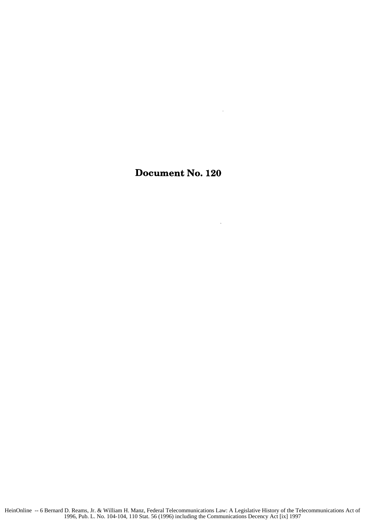Document No. 120

 $\bar{z}$ 

 $\ddot{\phantom{a}}$